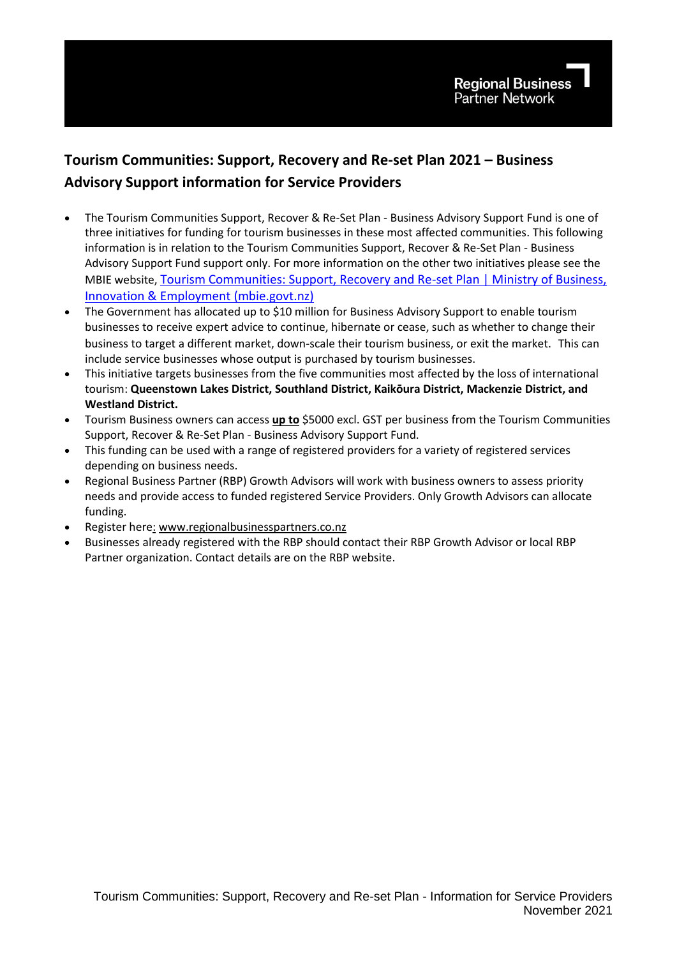# **Tourism Communities: Support, Recovery and Re-set Plan 2021 – Business Advisory Support information for Service Providers**

- The Tourism Communities Support, Recover & Re-Set Plan Business Advisory Support Fund is one of three initiatives for funding for tourism businesses in these most affected communities. This following information is in relation to the Tourism Communities Support, Recover & Re-Set Plan - Business Advisory Support Fund support only. For more information on the other two initiatives please see the MBIE website, Tourism Communities: Support, Recovery and Re-set Plan | Ministry of Business, [Innovation & Employment \(mbie.govt.nz\)](https://www.mbie.govt.nz/immigration-and-tourism/tourism/tourism-recovery/tourism-communities-support-recovery-and-re-set-plan/)
- The Government has allocated up to \$10 million for Business Advisory Support to enable tourism businesses to receive expert advice to continue, hibernate or cease, such as whether to change their business to target a different market, down-scale their tourism business, or exit the market. This can include service businesses whose output is purchased by tourism businesses.
- This initiative targets businesses from the five communities most affected by the loss of international tourism: **Queenstown Lakes District, Southland District, Kaikōura District, Mackenzie District, and Westland District.**
- Tourism Business owners can access **up to** \$5000 excl. GST per business from the Tourism Communities Support, Recover & Re-Set Plan - Business Advisory Support Fund.
- This funding can be used with a range of registered providers for a variety of registered services depending on business needs.
- Regional Business Partner (RBP) Growth Advisors will work with business owners to assess priority needs and provide access to funded registered Service Providers. Only Growth Advisors can allocate funding.
- Register here: [www.regionalbusinesspartners.co.nz](http://www.regionalbusinesspartners.co.nz/)
- Businesses already registered with the RBP should contact their RBP Growth Advisor or local RBP Partner organization. Contact details are on the RBP website.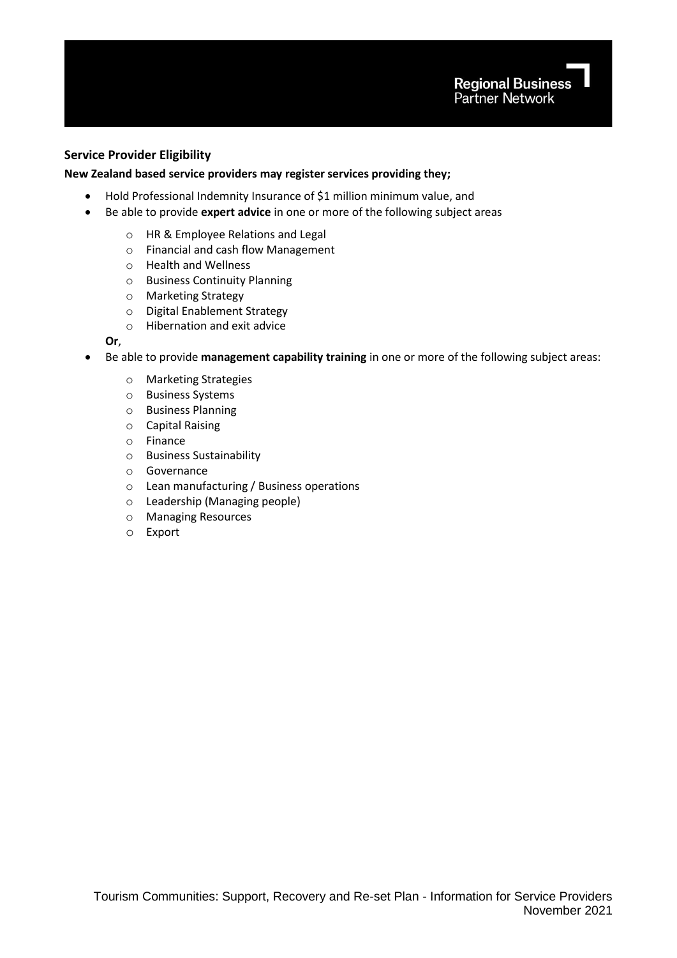# **Service Provider Eligibility**

#### **New Zealand based service providers may register services providing they;**

- Hold Professional Indemnity Insurance of \$1 million minimum value, and
- Be able to provide **expert advice** in one or more of the following subject areas
	- o HR & Employee Relations and Legal
	- o Financial and cash flow Management
	- o Health and Wellness
	- o Business Continuity Planning
	- o Marketing Strategy
	- o Digital Enablement Strategy
	- o Hibernation and exit advice

# **Or**,

- Be able to provide **management capability training** in one or more of the following subject areas:
	- o Marketing Strategies
	- o Business Systems
	- o Business Planning
	- o Capital Raising
	- o Finance
	- o Business Sustainability
	- o Governance
	- o Lean manufacturing / Business operations
	- o Leadership (Managing people)
	- o Managing Resources
	- o Export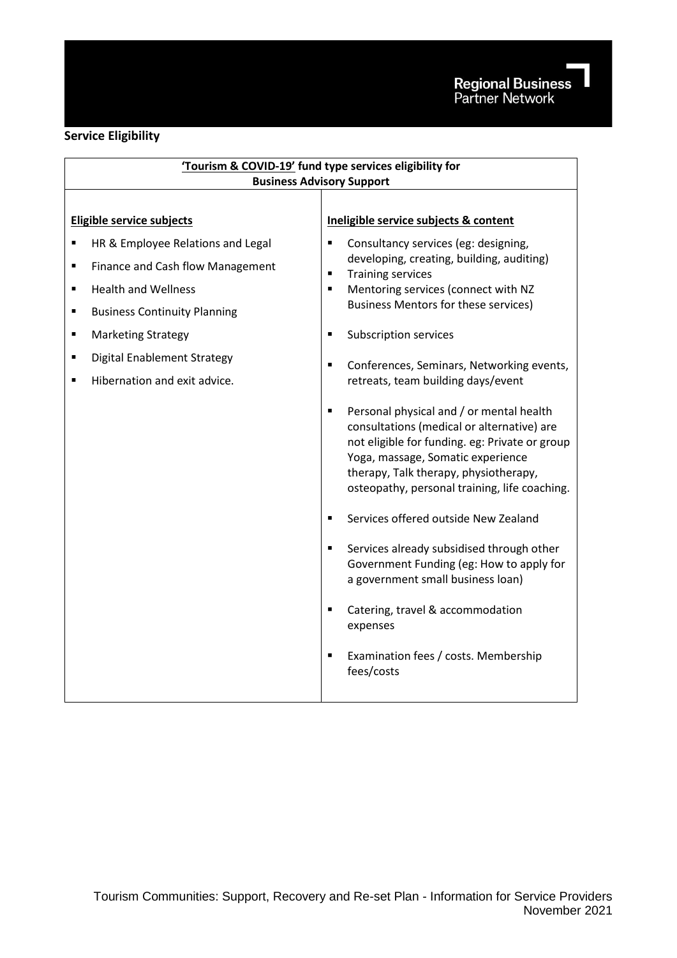# **Service Eligibility**

| 'Tourism & COVID-19' fund type services eligibility for                                                                                                                                                                                                                                                                              |                                                                                                                                                                                                                                                                                                                                                                                                                                                                                                                                                                                                                                                                                                                                                                                                                                                                                                                                                           |  |
|--------------------------------------------------------------------------------------------------------------------------------------------------------------------------------------------------------------------------------------------------------------------------------------------------------------------------------------|-----------------------------------------------------------------------------------------------------------------------------------------------------------------------------------------------------------------------------------------------------------------------------------------------------------------------------------------------------------------------------------------------------------------------------------------------------------------------------------------------------------------------------------------------------------------------------------------------------------------------------------------------------------------------------------------------------------------------------------------------------------------------------------------------------------------------------------------------------------------------------------------------------------------------------------------------------------|--|
| <b>Business Advisory Support</b>                                                                                                                                                                                                                                                                                                     |                                                                                                                                                                                                                                                                                                                                                                                                                                                                                                                                                                                                                                                                                                                                                                                                                                                                                                                                                           |  |
| Eligible service subjects                                                                                                                                                                                                                                                                                                            | Ineligible service subjects & content                                                                                                                                                                                                                                                                                                                                                                                                                                                                                                                                                                                                                                                                                                                                                                                                                                                                                                                     |  |
| HR & Employee Relations and Legal<br>$\blacksquare$<br>Finance and Cash flow Management<br>٠<br><b>Health and Wellness</b><br>$\blacksquare$<br><b>Business Continuity Planning</b><br>٠<br><b>Marketing Strategy</b><br>$\blacksquare$<br><b>Digital Enablement Strategy</b><br>٠<br>Hibernation and exit advice.<br>$\blacksquare$ | Consultancy services (eg: designing,<br>Ξ<br>developing, creating, building, auditing)<br><b>Training services</b><br>Ξ<br>Mentoring services (connect with NZ<br>٠<br><b>Business Mentors for these services)</b><br><b>Subscription services</b><br>Ξ<br>$\blacksquare$<br>Conferences, Seminars, Networking events,<br>retreats, team building days/event<br>Personal physical and / or mental health<br>Ξ<br>consultations (medical or alternative) are<br>not eligible for funding. eg: Private or group<br>Yoga, massage, Somatic experience<br>therapy, Talk therapy, physiotherapy,<br>osteopathy, personal training, life coaching.<br>Services offered outside New Zealand<br>٠<br>Services already subsidised through other<br>п<br>Government Funding (eg: How to apply for<br>a government small business loan)<br>Catering, travel & accommodation<br>٠<br>expenses<br>Examination fees / costs. Membership<br>$\blacksquare$<br>fees/costs |  |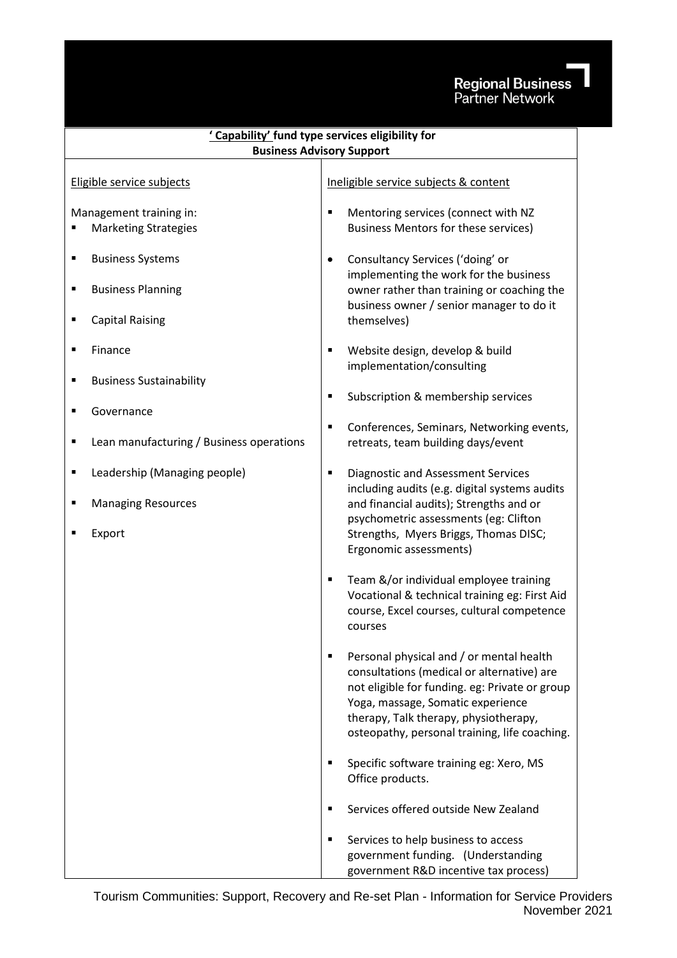# Regional Business<br>Partner Network

| ' Capability' fund type services eligibility for                         |                                                                                                                                                                                                                                                                              |  |
|--------------------------------------------------------------------------|------------------------------------------------------------------------------------------------------------------------------------------------------------------------------------------------------------------------------------------------------------------------------|--|
| <b>Business Advisory Support</b>                                         |                                                                                                                                                                                                                                                                              |  |
| Eligible service subjects                                                | Ineligible service subjects & content                                                                                                                                                                                                                                        |  |
| Management training in:<br><b>Marketing Strategies</b>                   | Mentoring services (connect with NZ<br>Ξ<br><b>Business Mentors for these services)</b>                                                                                                                                                                                      |  |
| <b>Business Systems</b><br><b>Business Planning</b><br>п                 | Consultancy Services ('doing' or<br>$\bullet$<br>implementing the work for the business<br>owner rather than training or coaching the<br>business owner / senior manager to do it                                                                                            |  |
| <b>Capital Raising</b>                                                   | themselves)                                                                                                                                                                                                                                                                  |  |
| Finance                                                                  | Website design, develop & build<br>Ξ<br>implementation/consulting                                                                                                                                                                                                            |  |
| <b>Business Sustainability</b><br>п<br>Governance<br>п                   | Subscription & membership services<br>Е                                                                                                                                                                                                                                      |  |
| Lean manufacturing / Business operations<br>п                            | Conferences, Seminars, Networking events,<br>Е<br>retreats, team building days/event                                                                                                                                                                                         |  |
| Leadership (Managing people)<br>٠<br><b>Managing Resources</b><br>Export | <b>Diagnostic and Assessment Services</b><br>٠<br>including audits (e.g. digital systems audits<br>and financial audits); Strengths and or<br>psychometric assessments (eg: Clifton<br>Strengths, Myers Briggs, Thomas DISC;<br>Ergonomic assessments)                       |  |
|                                                                          | Team &/or individual employee training<br>٠<br>Vocational & technical training eg: First Aid<br>course, Excel courses, cultural competence<br>courses                                                                                                                        |  |
|                                                                          | Personal physical and / or mental health<br>٠<br>consultations (medical or alternative) are<br>not eligible for funding. eg: Private or group<br>Yoga, massage, Somatic experience<br>therapy, Talk therapy, physiotherapy,<br>osteopathy, personal training, life coaching. |  |
|                                                                          | Specific software training eg: Xero, MS<br>$\blacksquare$<br>Office products.                                                                                                                                                                                                |  |
|                                                                          | Services offered outside New Zealand<br>٠                                                                                                                                                                                                                                    |  |
|                                                                          | Services to help business to access<br>٠<br>government funding. (Understanding<br>government R&D incentive tax process)                                                                                                                                                      |  |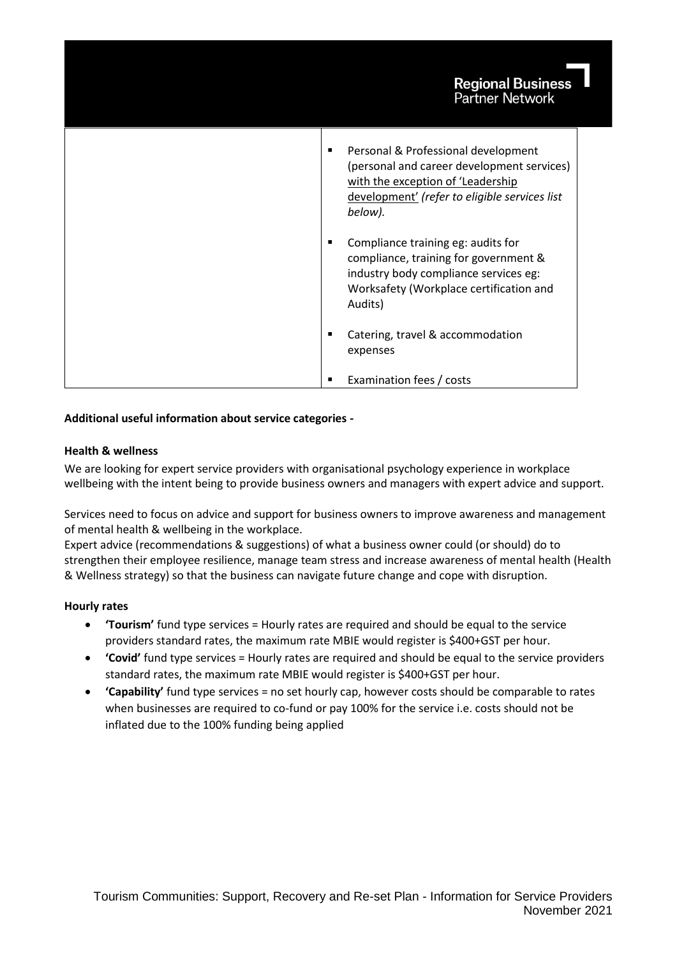| <b>Regional Business</b><br><b>Partner Network</b>                                                                                                                                      |
|-----------------------------------------------------------------------------------------------------------------------------------------------------------------------------------------|
| Personal & Professional development<br>٠<br>(personal and career development services)<br>with the exception of 'Leadership<br>development' (refer to eligible services list<br>below). |
| Compliance training eg: audits for<br>٠<br>compliance, training for government &<br>industry body compliance services eg:<br>Worksafety (Workplace certification and<br>Audits)         |
| Catering, travel & accommodation<br>п<br>expenses                                                                                                                                       |
| Examination fees / costs                                                                                                                                                                |

# **Additional useful information about service categories -**

# **Health & wellness**

We are looking for expert service providers with organisational psychology experience in workplace wellbeing with the intent being to provide business owners and managers with expert advice and support.

Services need to focus on advice and support for business owners to improve awareness and management of mental health & wellbeing in the workplace.

Expert advice (recommendations & suggestions) of what a business owner could (or should) do to strengthen their employee resilience, manage team stress and increase awareness of mental health (Health & Wellness strategy) so that the business can navigate future change and cope with disruption.

# **Hourly rates**

- **'Tourism'** fund type services = Hourly rates are required and should be equal to the service providers standard rates, the maximum rate MBIE would register is \$400+GST per hour.
- **'Covid'** fund type services = Hourly rates are required and should be equal to the service providers standard rates, the maximum rate MBIE would register is \$400+GST per hour.
- **'Capability'** fund type services = no set hourly cap, however costs should be comparable to rates when businesses are required to co-fund or pay 100% for the service i.e. costs should not be inflated due to the 100% funding being applied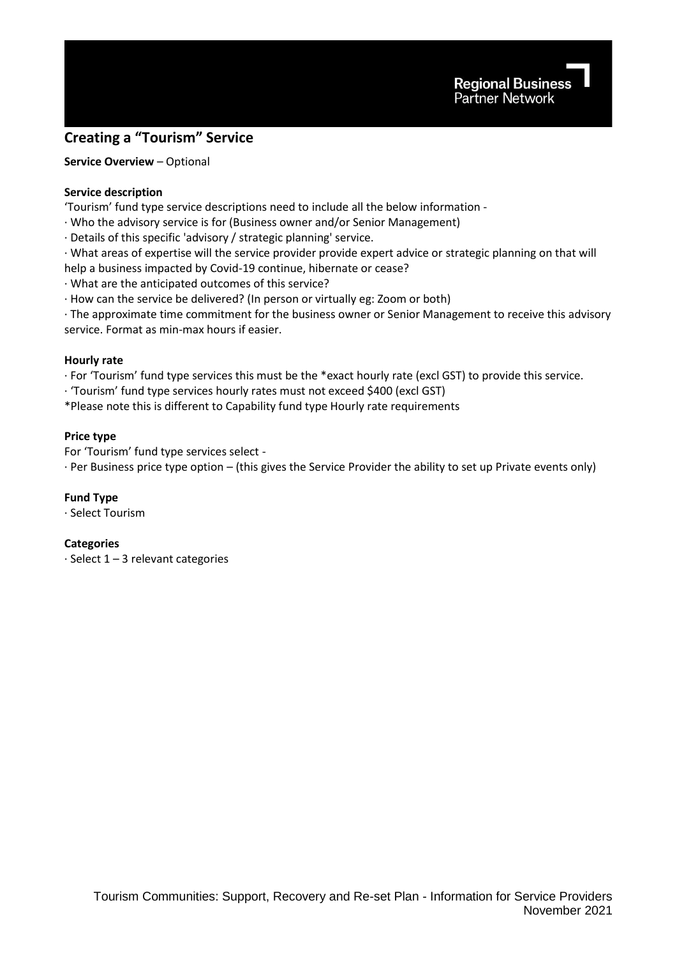

# **Creating a "Tourism" Service**

**Service Overview** – Optional

# **Service description**

'Tourism' fund type service descriptions need to include all the below information -

· Who the advisory service is for (Business owner and/or Senior Management)

· Details of this specific 'advisory / strategic planning' service.

· What areas of expertise will the service provider provide expert advice or strategic planning on that will help a business impacted by Covid-19 continue, hibernate or cease?

· What are the anticipated outcomes of this service?

· How can the service be delivered? (In person or virtually eg: Zoom or both)

· The approximate time commitment for the business owner or Senior Management to receive this advisory service. Format as min-max hours if easier.

#### **Hourly rate**

· For 'Tourism' fund type services this must be the \*exact hourly rate (excl GST) to provide this service.

· 'Tourism' fund type services hourly rates must not exceed \$400 (excl GST)

\*Please note this is different to Capability fund type Hourly rate requirements

#### **Price type**

For 'Tourism' fund type services select -

· Per Business price type option – (this gives the Service Provider the ability to set up Private events only)

#### **Fund Type**

· Select Tourism

#### **Categories**

· Select 1 – 3 relevant categories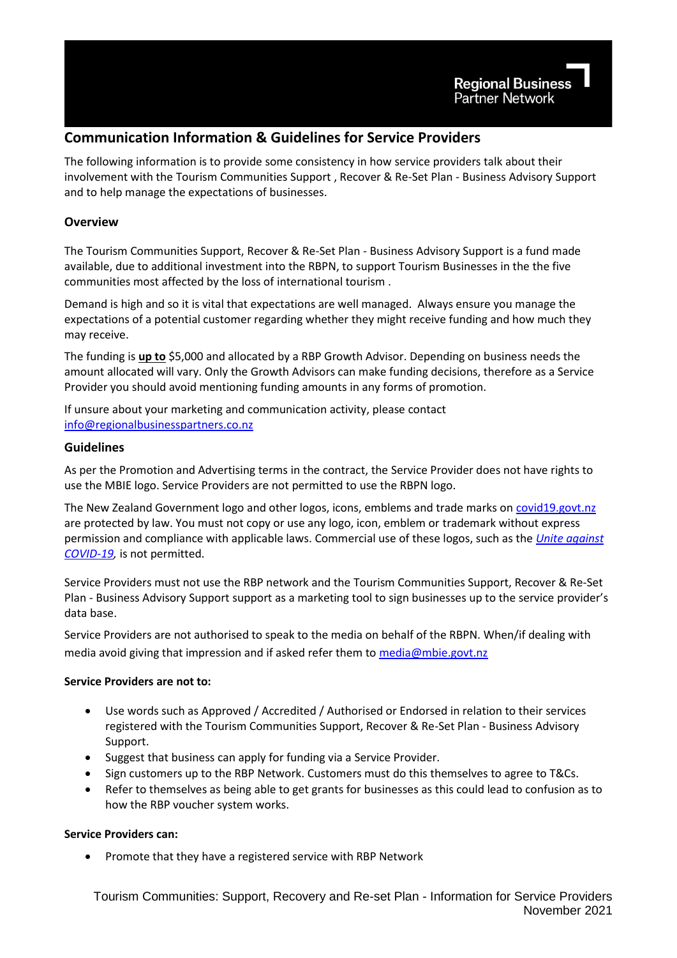# **Communication Information & Guidelines for Service Providers**

The following information is to provide some consistency in how service providers talk about their involvement with the Tourism Communities Support , Recover & Re-Set Plan - Business Advisory Support and to help manage the expectations of businesses.

# **Overview**

The Tourism Communities Support, Recover & Re-Set Plan - Business Advisory Support is a fund made available, due to additional investment into the RBPN, to support Tourism Businesses in the the five communities most affected by the loss of international tourism .

Demand is high and so it is vital that expectations are well managed. Always ensure you manage the expectations of a potential customer regarding whether they might receive funding and how much they may receive.

The funding is **up to** \$5,000 and allocated by a RBP Growth Advisor. Depending on business needs the amount allocated will vary. Only the Growth Advisors can make funding decisions, therefore as a Service Provider you should avoid mentioning funding amounts in any forms of promotion.

If unsure about your marketing and communication activity, please contact [info@regionalbusinesspartners.co.nz](mailto:info@regionalbusinesspartners.co.nz)

# **Guidelines**

As per the Promotion and Advertising terms in the contract, the Service Provider does not have rights to use the MBIE logo. Service Providers are not permitted to use the RBPN logo.

The New Zealand Government logo and other logos, icons, emblems and trade marks on [covid19.govt.nz](https://covid19.govt.nz/) are protected by law. You must not copy or use any logo, icon, emblem or trademark without express permission and compliance with applicable laws. Commercial use of these logos, such as the *[Unite against](https://covid19.govt.nz/)  [COVID-19,](https://covid19.govt.nz/)* is not permitted.

Service Providers must not use the RBP network and the Tourism Communities Support, Recover & Re-Set Plan - Business Advisory Support support as a marketing tool to sign businesses up to the service provider's data base.

Service Providers are not authorised to speak to the media on behalf of the RBPN. When/if dealing with media avoid giving that impression and if asked refer them to [media@mbie.govt.nz](mailto:media@mbie.govt.nz)

# **Service Providers are not to:**

- Use words such as Approved / Accredited / Authorised or Endorsed in relation to their services registered with the Tourism Communities Support, Recover & Re-Set Plan - Business Advisory Support.
- Suggest that business can apply for funding via a Service Provider.
- Sign customers up to the RBP Network. Customers must do this themselves to agree to T&Cs.
- Refer to themselves as being able to get grants for businesses as this could lead to confusion as to how the RBP voucher system works.

# **Service Providers can:**

• Promote that they have a registered service with RBP Network

Tourism Communities: Support, Recovery and Re-set Plan - Information for Service Providers November 2021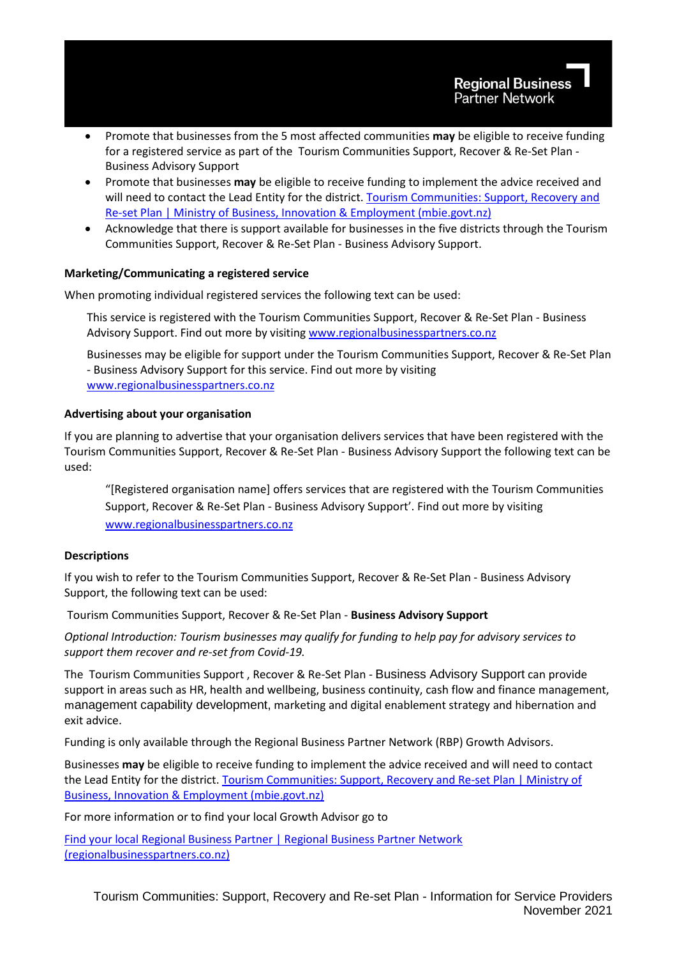- Promote that businesses from the 5 most affected communities **may** be eligible to receive funding for a registered service as part of the Tourism Communities Support, Recover & Re-Set Plan - Business Advisory Support
- Promote that businesses **may** be eligible to receive funding to implement the advice received and will need to contact the Lead Entity for the district. [Tourism Communities: Support, Recovery and](https://www.mbie.govt.nz/immigration-and-tourism/tourism/tourism-recovery/tourism-communities-support-recovery-and-re-set-plan/)  [Re-set Plan | Ministry of Business, Innovation & Employment \(mbie.govt.nz\)](https://www.mbie.govt.nz/immigration-and-tourism/tourism/tourism-recovery/tourism-communities-support-recovery-and-re-set-plan/)
- Acknowledge that there is support available for businesses in the five districts through the Tourism Communities Support, Recover & Re-Set Plan - Business Advisory Support.

# **Marketing/Communicating a registered service**

When promoting individual registered services the following text can be used:

This service is registered with the Tourism Communities Support, Recover & Re-Set Plan - Business Advisory Support. Find out more by visitin[g www.regionalbusinesspartners.co.nz](http://www.regionalbusinesspartners.co.nz/)

Businesses may be eligible for support under the Tourism Communities Support, Recover & Re-Set Plan - Business Advisory Support for this service. Find out more by visiting [www.regionalbusinesspartners.co.nz](http://www.regionalbusinesspartners.co.nz/)

#### **Advertising about your organisation**

If you are planning to advertise that your organisation delivers services that have been registered with the Tourism Communities Support, Recover & Re-Set Plan - Business Advisory Support the following text can be used:

"[Registered organisation name] offers services that are registered with the Tourism Communities Support, Recover & Re-Set Plan - Business Advisory Support'. Find out more by visiting [www.regionalbusinesspartners.co.nz](http://www.regionalbusinesspartners.co.nz/)

# **Descriptions**

If you wish to refer to the Tourism Communities Support, Recover & Re-Set Plan - Business Advisory Support, the following text can be used:

Tourism Communities Support, Recover & Re-Set Plan - **Business Advisory Support**

*Optional Introduction: Tourism businesses may qualify for funding to help pay for advisory services to support them recover and re-set from Covid-19.*

The Tourism Communities Support , Recover & Re-Set Plan - Business Advisory Support can provide support in areas such as HR, health and wellbeing, business continuity, cash flow and finance management, management capability development, marketing and digital enablement strategy and hibernation and exit advice.

Funding is only available through the Regional Business Partner Network (RBP) Growth Advisors.

Businesses **may** be eligible to receive funding to implement the advice received and will need to contact the Lead Entity for the district. [Tourism Communities: Support, Recovery and Re-set Plan | Ministry of](https://www.mbie.govt.nz/immigration-and-tourism/tourism/tourism-recovery/tourism-communities-support-recovery-and-re-set-plan/)  [Business, Innovation & Employment \(mbie.govt.nz\)](https://www.mbie.govt.nz/immigration-and-tourism/tourism/tourism-recovery/tourism-communities-support-recovery-and-re-set-plan/)

For more information or to find your local Growth Advisor go to

[Find your local Regional Business Partner | Regional Business Partner Network](https://www.regionalbusinesspartners.co.nz/page/find-your-local-regional-business-partner)  [\(regionalbusinesspartners.co.nz\)](https://www.regionalbusinesspartners.co.nz/page/find-your-local-regional-business-partner)